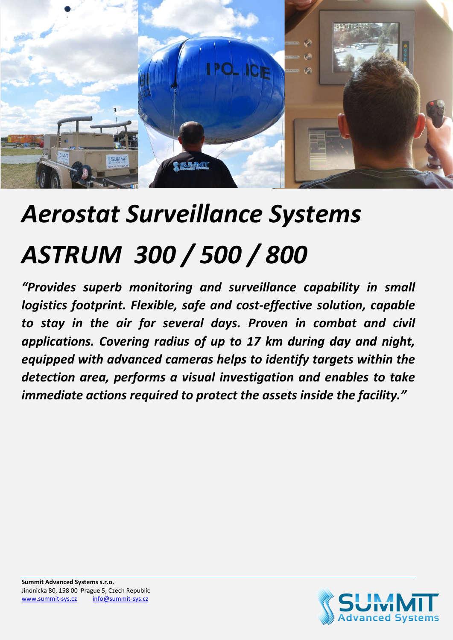

# Aerostat Surveillance Systems ASTRUM 300 / 500 / 800

"Provides superb monitoring and surveillance capability in small logistics footprint. Flexible, safe and cost-effective solution, capable to stay in the air for several days. Proven in combat and civil applications. Covering radius of up to 17 km during day and night, equipped with advanced cameras helps to identify targets within the detection area, performs a visual investigation and enables to take immediate actions required to protect the assets inside the facility."

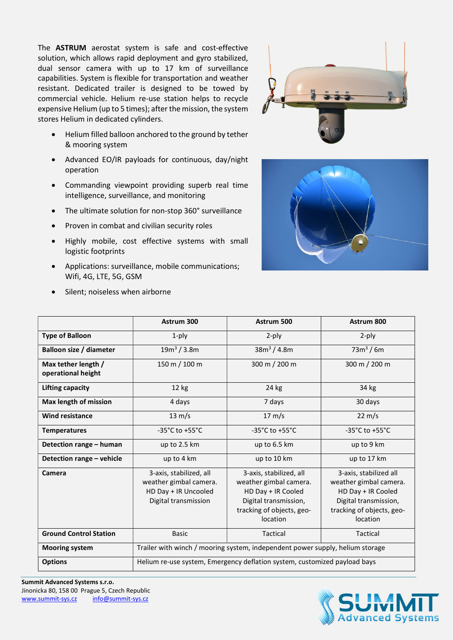The ASTRUM aerostat system is safe and cost-effective solution, which allows rapid deployment and gyro stabilized, dual sensor camera with up to 17 km of surveillance capabilities. System is flexible for transportation and weather resistant. Dedicated trailer is designed to be towed by commercial vehicle. Helium re-use station helps to recycle expensive Helium (up to 5 times); after the mission, the system stores Helium in dedicated cylinders.

- Helium filled balloon anchored to the ground by tether & mooring system
- Advanced EO/IR payloads for continuous, day/night operation
- Commanding viewpoint providing superb real time intelligence, surveillance, and monitoring
- The ultimate solution for non-stop 360° surveillance
- Proven in combat and civilian security roles
- Highly mobile, cost effective systems with small logistic footprints
- Applications: surveillance, mobile communications; Wifi, 4G, LTE, 5G, GSM
- Silent; noiseless when airborne





|                                           | Astrum 300                                                                                        | Astrum 500                                                                                                                                | Astrum 800                                                                                                                               |
|-------------------------------------------|---------------------------------------------------------------------------------------------------|-------------------------------------------------------------------------------------------------------------------------------------------|------------------------------------------------------------------------------------------------------------------------------------------|
| <b>Type of Balloon</b>                    | $1$ -ply                                                                                          | $2$ -ply                                                                                                                                  | $2$ -ply                                                                                                                                 |
| <b>Balloon size / diameter</b>            | 19m <sup>3</sup> / 3.8m                                                                           | 38m <sup>3</sup> / 4.8m                                                                                                                   | $73m^3/6m$                                                                                                                               |
| Max tether length /<br>operational height | 150 m / 100 m                                                                                     | 300 m / 200 m                                                                                                                             | 300 m / 200 m                                                                                                                            |
| Lifting capacity                          | 12 kg                                                                                             | 24 kg                                                                                                                                     | 34 kg                                                                                                                                    |
| Max length of mission                     | 4 days                                                                                            | 7 days                                                                                                                                    | 30 days                                                                                                                                  |
| <b>Wind resistance</b>                    | $13 \text{ m/s}$                                                                                  | $17 \text{ m/s}$                                                                                                                          | $22 \text{ m/s}$                                                                                                                         |
| <b>Temperatures</b>                       | $-35^{\circ}$ C to $+55^{\circ}$ C                                                                | $-35^{\circ}$ C to $+55^{\circ}$ C                                                                                                        | $-35^{\circ}$ C to $+55^{\circ}$ C                                                                                                       |
| Detection range - human                   | up to 2.5 km                                                                                      | up to 6.5 km                                                                                                                              | up to 9 km                                                                                                                               |
| Detection range - vehicle                 | up to 4 km                                                                                        | up to 10 km                                                                                                                               | up to 17 km                                                                                                                              |
| Camera                                    | 3-axis, stabilized, all<br>weather gimbal camera.<br>HD Day + IR Uncooled<br>Digital transmission | 3-axis, stabilized, all<br>weather gimbal camera.<br>HD Day + IR Cooled<br>Digital transmission,<br>tracking of objects, geo-<br>location | 3-axis, stabilized all<br>weather gimbal camera.<br>HD Day + IR Cooled<br>Digital transmission,<br>tracking of objects, geo-<br>location |
| <b>Ground Control Station</b>             | <b>Basic</b>                                                                                      | Tactical                                                                                                                                  | Tactical                                                                                                                                 |
| <b>Mooring system</b>                     | Trailer with winch / mooring system, independent power supply, helium storage                     |                                                                                                                                           |                                                                                                                                          |
| <b>Options</b>                            | Helium re-use system, Emergency deflation system, customized payload bays                         |                                                                                                                                           |                                                                                                                                          |



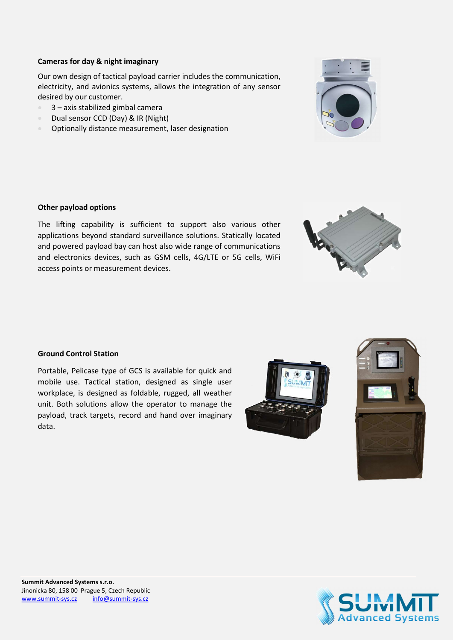## Cameras for day & night imaginary

Our own design of tactical payload carrier includes the communication, electricity, and avionics systems, allows the integration of any sensor desired by our customer.

- 3 axis stabilized gimbal camera
- Dual sensor CCD (Day) & IR (Night)
- **•** Optionally distance measurement, laser designation

## Other payload options

The lifting capability is sufficient to support also various other applications beyond standard surveillance solutions. Statically located and powered payload bay can host also wide range of communications and electronics devices, such as GSM cells, 4G/LTE or 5G cells, WiFi access points or measurement devices.

### Ground Control Station

Portable, Pelicase type of GCS is available for quick and mobile use. Tactical station, designed as single user workplace, is designed as foldable, rugged, all weather unit. Both solutions allow the operator to manage the payload, track targets, record and hand over imaginary data.